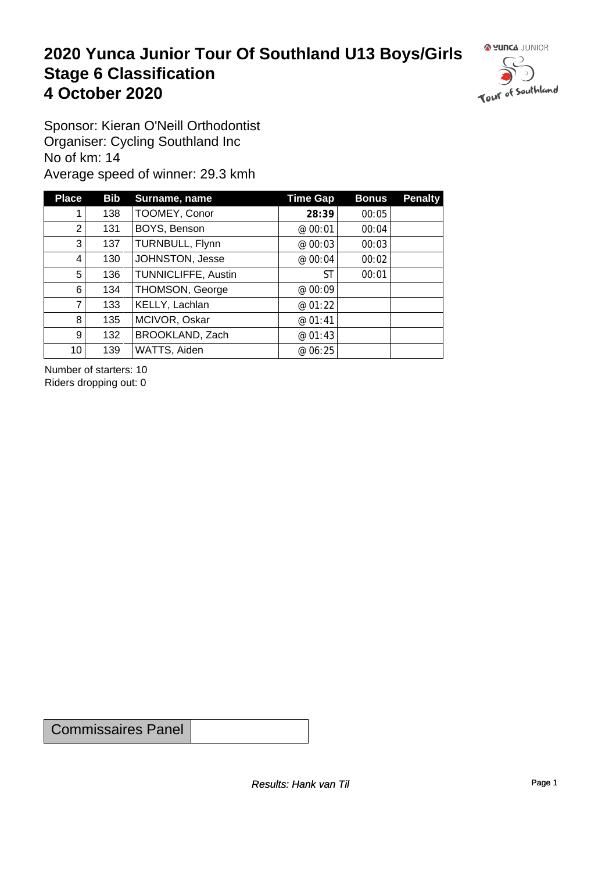#### **2020 Yunca Junior Tour Of Southland U13 Boys/Girls** Stage 6 Classification<br>4 October 2020 **4 October 2020**



Sponsor: Kieran O'Neill Orthodontist Organiser: Cycling Southland Inc No of km: 14 Average speed of winner: 29.3 kmh

| <b>Place</b>    | <b>Bib</b> | Surname, name       | <b>Time Gap</b> | <b>Bonus</b> | <b>Penalty</b> |
|-----------------|------------|---------------------|-----------------|--------------|----------------|
|                 | 138        | TOOMEY, Conor       | 28:39           | 00:05        |                |
| $\overline{2}$  | 131        | BOYS, Benson        | @ 00:01         | 00:04        |                |
| 3               | 137        | TURNBULL, Flynn     | @ 00:03         | 00:03        |                |
| 4               | 130        | JOHNSTON, Jesse     | @ 00:04         | 00:02        |                |
| 5               | 136        | TUNNICLIFFE, Austin | ST              | 00:01        |                |
| 6               | 134        | THOMSON, George     | @ 00:09         |              |                |
| 7               | 133        | KELLY, Lachlan      | @ 01:22         |              |                |
| 8               | 135        | MCIVOR, Oskar       | @ 01:41         |              |                |
| 9 <sup>1</sup>  | 132        | BROOKLAND, Zach     | @ 01:43         |              |                |
| 10 <sup>1</sup> | 139        | WATTS, Aiden        | @ 06:25         |              |                |

Number of starters: 10 Riders dropping out: 0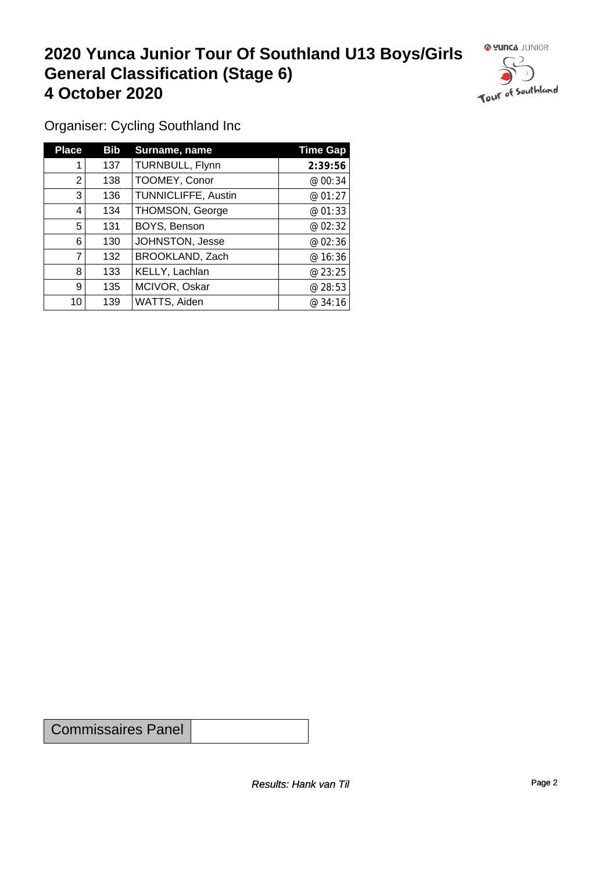## **2020 Yunca Junior Tour Of Southland U13 Boys/Girls General Classification (Stage 6)**<br>4 October 2020 **4 October 2020**

 $\circ$ 

Organiser: Cycling Southland Inc

| <b>Place</b> | <b>Bib</b> | Surname, name              | <b>Time Gap</b> |
|--------------|------------|----------------------------|-----------------|
|              | 137        | TURNBULL, Flynn            | 2:39:56         |
| 2            | 138        | TOOMEY, Conor              | @ 00:34         |
| 3            | 136        | <b>TUNNICLIFFE, Austin</b> | @ $01:27$       |
| 4            | 134        | THOMSON, George            | @ 01:33         |
| 5            | 131        | BOYS, Benson               | @ 02:32         |
| 6            | 130        | JOHNSTON, Jesse            | @ 02:36         |
| 7            | 132        | BROOKLAND, Zach            | @ 16:36         |
| 8            | 133        | KELLY, Lachlan             | @23:25          |
| 9            | 135        | MCIVOR, Oskar              | @ 28:53         |
| 10           | 139        | WATTS, Aiden               | @ 34:16         |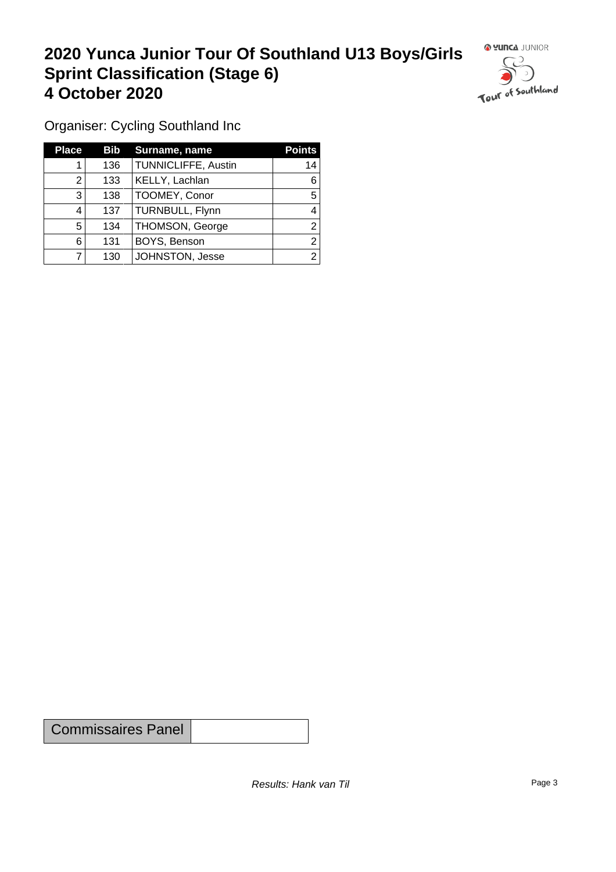### **2020 Yunca Junior Tour Of Southland U13 Boys/Girls Sprint Classification (Stage 6) 4 October 2020 19 Continued to the Continued Southland**



Organiser: Cycling Southland Inc

| <b>Place</b> | <b>Bib</b> | Surname, name              | <b>Points</b> |
|--------------|------------|----------------------------|---------------|
|              | 136        | <b>TUNNICLIFFE, Austin</b> | 14            |
| 2            | 133        | KELLY, Lachlan             | 6             |
| 3            | 138        | TOOMEY, Conor              | 5             |
| 4            | 137        | TURNBULL, Flynn            |               |
| 5            | 134        | THOMSON, George            | ⌒             |
| 6            | 131        | BOYS, Benson               |               |
|              | 130        | JOHNSTON, Jesse            | ⌒             |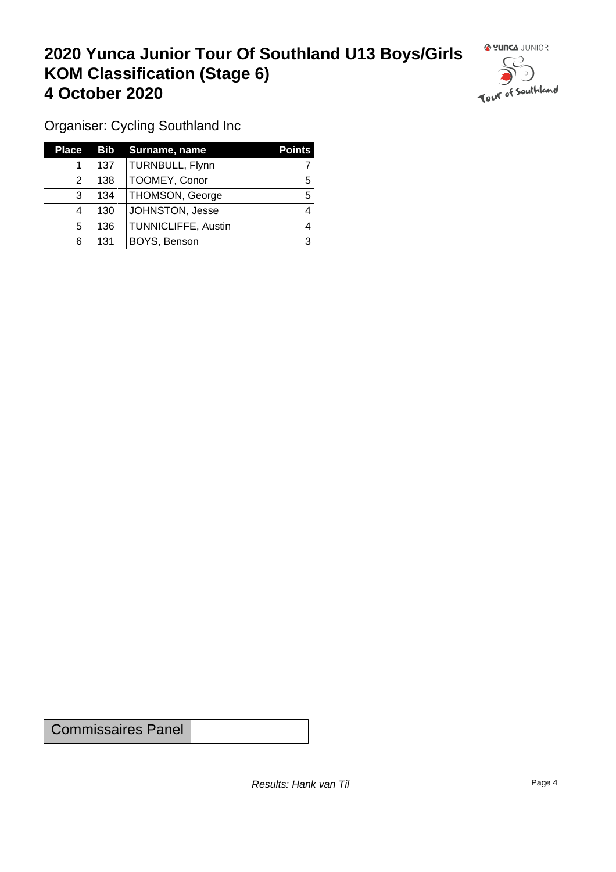### **2020 Yunca Junior Tour Of Southland U13 Boys/Girls KOM Classification (Stage 6) 4 October 2020**



Organiser: Cycling Southland Inc

| <b>Place</b> |     | <b>Bib</b> Surname, name | <b>Points</b> |
|--------------|-----|--------------------------|---------------|
|              | 137 | TURNBULL, Flynn          |               |
|              | 138 | TOOMEY, Conor            | 5             |
| 3            | 134 | <b>THOMSON, George</b>   | 5             |
|              | 130 | JOHNSTON, Jesse          |               |
| 5            | 136 | TUNNICLIFFE, Austin      |               |
| 6            | 131 | BOYS, Benson             | 3             |